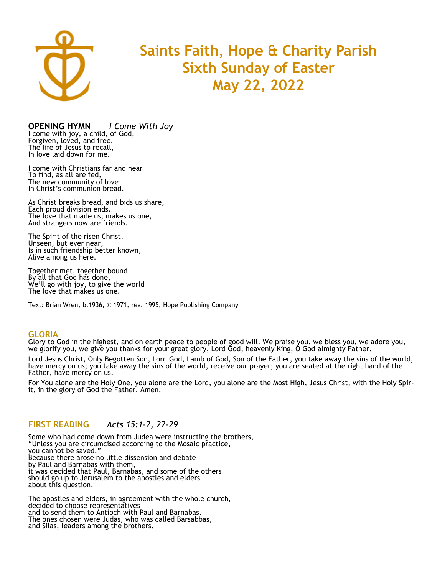

# **Saints Faith, Hope & Charity Parish Sixth Sunday of Easter May 22, 2022**

#### **OPENING HYMN** *I Come With Joy* I come with joy, a child, of God, Forgiven, loved, and free. The life of Jesus to recall, In love laid down for me.

I come with Christians far and near To find, as all are fed, The new community of love In Christ's communion bread.

As Christ breaks bread, and bids us share, Each proud division ends. The love that made us, makes us one, And strangers now are friends.

The Spirit of the risen Christ, Unseen, but ever near, Is in such friendship better known, Alive among us here.

Together met, together bound By all that God has done, We'll go with joy, to give the world The love that makes us one.

Text: Brian Wren, b.1936, © 1971, rev. 1995, Hope Publishing Company

### **GLORIA**

Glory to God in the highest, and on earth peace to people of good will. We praise you, we bless you, we adore you, we glorify you, we give you thanks for your great glory, Lord God, heavenly King, O God almighty Father.

Lord Jesus Christ, Only Begotten Son, Lord God, Lamb of God, Son of the Father, you take away the sins of the world, have mercy on us; you take away the sins of the world, receive our prayer; you are seated at the right hand of the Father, have mercy on us.

For You alone are the Holy One, you alone are the Lord, you alone are the Most High, Jesus Christ, with the Holy Spirit, in the glory of God the Father. Amen.

## **FIRST READING** *Acts 15:1-2, 22-29*

Some who had come down from Judea were instructing the brothers, "Unless you are circumcised according to the Mosaic practice, you cannot be saved." Because there arose no little dissension and debate by Paul and Barnabas with them, it was decided that Paul, Barnabas, and some of the others should go up to Jerusalem to the apostles and elders about this question.

The apostles and elders, in agreement with the whole church, decided to choose representatives and to send them to Antioch with Paul and Barnabas. The ones chosen were Judas, who was called Barsabbas, and Silas, leaders among the brothers.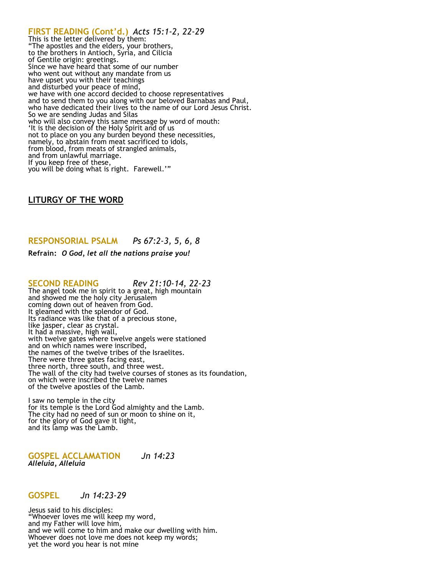**FIRST READING (Cont'd.)** *Acts 15:1-2, 22-29* This is the letter delivered by them: "The apostles and the elders, your brothers, to the brothers in Antioch, Syria, and Cilicia of Gentile origin: greetings. Since we have heard that some of our number who went out without any mandate from us have upset you with their teachings and disturbed your peace of mind, we have with one accord decided to choose representatives and to send them to you along with our beloved Barnabas and Paul, who have dedicated their lives to the name of our Lord Jesus Christ. So we are sending Judas and Silas who will also convey this same message by word of mouth: 'It is the decision of the Holy Spirit and of us not to place on you any burden beyond these necessities, namely, to abstain from meat sacrificed to idols, from blood, from meats of strangled animals, and from unlawful marriage. If you keep free of these, you will be doing what is right. Farewell.'"

## **[LITURGY O](http://www.usccb.org/prayer-and-worship/the-mass/order-of-mass/liturgy-of-the-word/index.cfm)F THE WORD**

**RESPONSORIAL PSALM** *Ps 67:2-3, 5, 6, 8*

**Refrain:** *O God, let all the nations praise you!*

## **SECOND READING** *Rev 21:10-14, 22-23*

The angel took me in spirit to a great, high mountain and showed me the holy city Jerusalem coming down out of heaven from God. It gleamed with the splendor of God. Its radiance was like that of a precious stone, like jasper, clear as crystal. It had a massive, high wall, with twelve gates where twelve angels were stationed and on which names were inscribed, the names of the twelve tribes of the Israelites. There were three gates facing east, three north, three south, and three west. The wall of the city had twelve courses of stones as its foundation, on which were inscribed the twelve names of the twelve apostles of the Lamb.

I saw no temple in the city for its temple is the Lord God almighty and the Lamb. The city had no need of sun or moon to shine on it, for the glory of God gave it light, and its lamp was the Lamb.

#### **GOSPEL ACCLAMATION** *Jn 14:23 Alleluia, Alleluia*

## **GOSPEL** *Jn 14:23-29*

Jesus said to his disciples: "Whoever loves me will keep my word, and my Father will love him, and we will come to him and make our dwelling with him. Whoever does not love me does not keep my words; yet the word you hear is not mine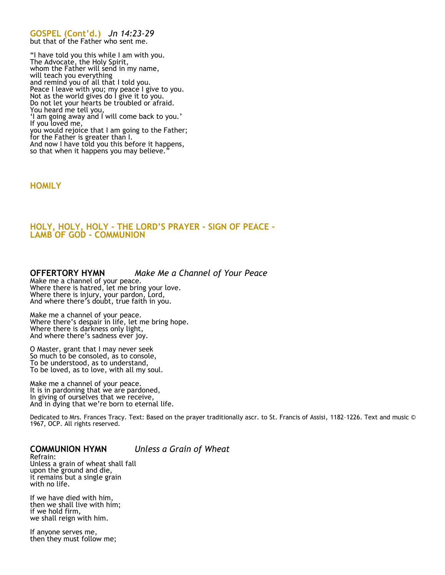#### **GOSPEL (Cont'd.)** *Jn 14:23-29* but that of the Father who sent me.

"I have told you this while I am with you. The Advocate, the Holy Spirit, whom the Father will send in my name, will teach you everything and remind you of all that I told you. Peace I leave with you; my peace I give to you. Not as the world gives do I give it to you. Do not let your hearts be troubled or afraid. You heard me tell you, 'I am going away and I will come back to you.' If you loved me, you would rejoice that I am going to the Father; for the Father is greater than I. And now I have told you this before it happens, so that when it happens you may believe.

**HOMILY**

## **HOLY, HOLY, HOLY - THE LORD'S PRAYER - SIGN OF PEACE - LAMB OF GOD - COMMUNION**

## **OFFERTORY HYMN** *Make Me a Channel of Your Peace*

Make me a channel of your peace. Where there is hatred, let me bring your love. Where there is injury, your pardon, Lord, And where there's doubt, true faith in you.

Make me a channel of your peace. Where there's despair in life, let me bring hope. Where there is darkness only light, And where there's sadness ever joy.

O Master, grant that I may never seek So much to be consoled, as to console, To be understood, as to understand, To be loved, as to love, with all my soul.

Make me a channel of your peace. It is in pardoning that we are pardoned, In giving of ourselves that we receive, And in dying that we're born to eternal life.

Dedicated to Mrs. Frances Tracy. Text: Based on the prayer traditionally ascr. to St. Francis of Assisi, 1182–1226. Text and music © 1967, OCP. All rights reserved.

## Refrain:

## **COMMUNION HYMN** *Unless a Grain of Wheat*

Unless a grain of wheat shall fall upon the ground and die, it remains but a single grain with no life.

If we have died with him, then we shall live with him; if we hold firm, we shall reign with him.

If anyone serves me, then they must follow me;